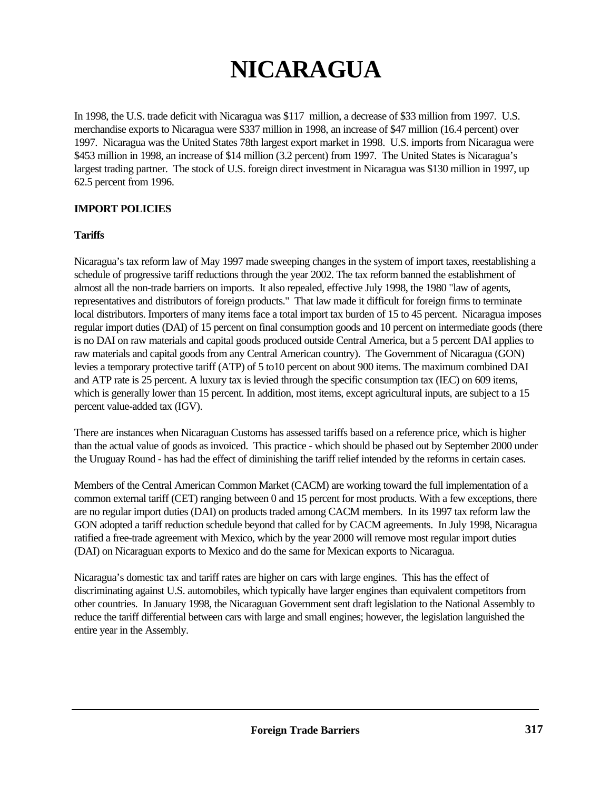# **NICARAGUA**

In 1998, the U.S. trade deficit with Nicaragua was \$117 million, a decrease of \$33 million from 1997. U.S. merchandise exports to Nicaragua were \$337 million in 1998, an increase of \$47 million (16.4 percent) over 1997. Nicaragua was the United States 78th largest export market in 1998. U.S. imports from Nicaragua were \$453 million in 1998, an increase of \$14 million (3.2 percent) from 1997. The United States is Nicaragua's largest trading partner.The stock of U.S. foreign direct investment in Nicaragua was \$130 million in 1997, up 62.5 percent from 1996.

# **IMPORT POLICIES**

#### **Tariffs**

Nicaragua's tax reform law of May 1997 made sweeping changes in the system of import taxes, reestablishing a schedule of progressive tariff reductions through the year 2002. The tax reform banned the establishment of almost all the non-trade barriers on imports. It also repealed, effective July 1998, the 1980 "law of agents, representatives and distributors of foreign products." That law made it difficult for foreign firms to terminate local distributors. Importers of many items face a total import tax burden of 15 to 45 percent. Nicaragua imposes regular import duties (DAI) of 15 percent on final consumption goods and 10 percent on intermediate goods (there is no DAI on raw materials and capital goods produced outside Central America, but a 5 percent DAI applies to raw materials and capital goods from any Central American country). The Government of Nicaragua (GON) levies a temporary protective tariff (ATP) of 5 to10 percent on about 900 items. The maximum combined DAI and ATP rate is 25 percent. A luxury tax is levied through the specific consumption tax (IEC) on 609 items, which is generally lower than 15 percent. In addition, most items, except agricultural inputs, are subject to a 15 percent value-added tax (IGV).

There are instances when Nicaraguan Customs has assessed tariffs based on a reference price, which is higher than the actual value of goods as invoiced. This practice - which should be phased out by September 2000 under the Uruguay Round - has had the effect of diminishing the tariff relief intended by the reforms in certain cases.

Members of the Central American Common Market (CACM) are working toward the full implementation of a common external tariff (CET) ranging between 0 and 15 percent for most products. With a few exceptions, there are no regular import duties (DAI) on products traded among CACM members. In its 1997 tax reform law the GON adopted a tariff reduction schedule beyond that called for by CACM agreements. In July 1998, Nicaragua ratified a free-trade agreement with Mexico, which by the year 2000 will remove most regular import duties (DAI) on Nicaraguan exports to Mexico and do the same for Mexican exports to Nicaragua.

Nicaragua's domestic tax and tariff rates are higher on cars with large engines. This has the effect of discriminating against U.S. automobiles, which typically have larger engines than equivalent competitors from other countries. In January 1998, the Nicaraguan Government sent draft legislation to the National Assembly to reduce the tariff differential between cars with large and small engines; however, the legislation languished the entire year in the Assembly.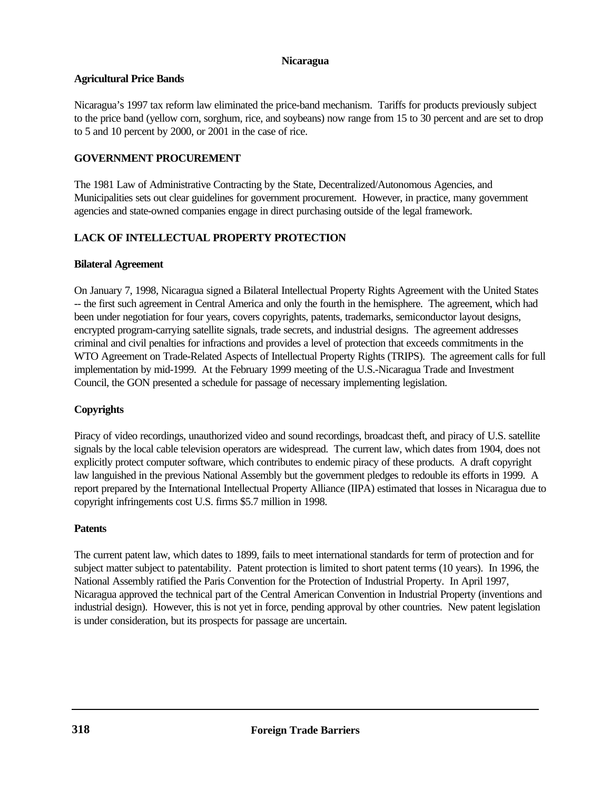#### **Nicaragua**

#### **Agricultural Price Bands**

Nicaragua's 1997 tax reform law eliminated the price-band mechanism. Tariffs for products previously subject to the price band (yellow corn, sorghum, rice, and soybeans) now range from 15 to 30 percent and are set to drop to 5 and 10 percent by 2000, or 2001 in the case of rice.

## **GOVERNMENT PROCUREMENT**

The 1981 Law of Administrative Contracting by the State, Decentralized/Autonomous Agencies, and Municipalities sets out clear guidelines for government procurement. However, in practice, many government agencies and state-owned companies engage in direct purchasing outside of the legal framework.

# **LACK OF INTELLECTUAL PROPERTY PROTECTION**

## **Bilateral Agreement**

On January 7, 1998, Nicaragua signed a Bilateral Intellectual Property Rights Agreement with the United States -- the first such agreement in Central America and only the fourth in the hemisphere. The agreement, which had been under negotiation for four years, covers copyrights, patents, trademarks, semiconductor layout designs, encrypted program-carrying satellite signals, trade secrets, and industrial designs. The agreement addresses criminal and civil penalties for infractions and provides a level of protection that exceeds commitments in the WTO Agreement on Trade-Related Aspects of Intellectual Property Rights (TRIPS). The agreement calls for full implementation by mid-1999.At the February 1999 meeting of the U.S.-Nicaragua Trade and Investment Council, the GON presented a schedule for passage of necessary implementing legislation.

## **Copyrights**

Piracy of video recordings, unauthorized video and sound recordings, broadcast theft, and piracy of U.S. satellite signals by the local cable television operators are widespread. The current law, which dates from 1904, does not explicitly protect computer software, which contributes to endemic piracy of these products. A draft copyright law languished in the previous National Assembly but the government pledges to redouble its efforts in 1999. A report prepared by the International Intellectual Property Alliance (IIPA) estimated that losses in Nicaragua due to copyright infringements cost U.S. firms \$5.7 million in 1998.

#### **Patents**

The current patent law, which dates to 1899, fails to meet international standards for term of protection and for subject matter subject to patentability. Patent protection is limited to short patent terms (10 years). In 1996, the National Assembly ratified the Paris Convention for the Protection of Industrial Property. In April 1997, Nicaragua approved the technical part of the Central American Convention in Industrial Property (inventions and industrial design). However, this is not yet in force, pending approval by other countries. New patent legislation is under consideration, but its prospects for passage are uncertain.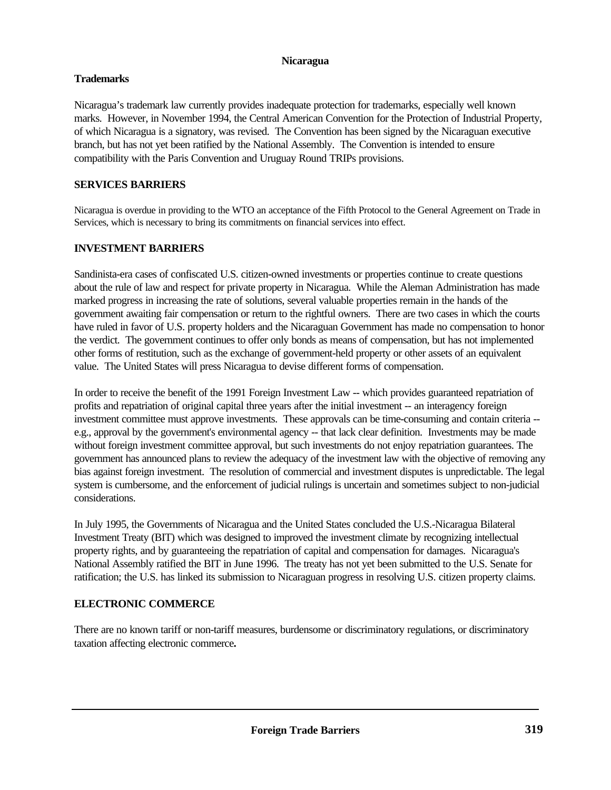#### **Nicaragua**

## **Trademarks**

Nicaragua's trademark law currently provides inadequate protection for trademarks, especially well known marks. However, in November 1994, the Central American Convention for the Protection of Industrial Property, of which Nicaragua is a signatory, was revised. The Convention has been signed by the Nicaraguan executive branch, but has not yet been ratified by the National Assembly. The Convention is intended to ensure compatibility with the Paris Convention and Uruguay Round TRIPs provisions.

## **SERVICES BARRIERS**

Nicaragua is overdue in providing to the WTO an acceptance of the Fifth Protocol to the General Agreement on Trade in Services, which is necessary to bring its commitments on financial services into effect.

# **INVESTMENT BARRIERS**

Sandinista-era cases of confiscated U.S. citizen-owned investments or properties continue to create questions about the rule of law and respect for private property in Nicaragua. While the Aleman Administration has made marked progress in increasing the rate of solutions, several valuable properties remain in the hands of the government awaiting fair compensation or return to the rightful owners. There are two cases in which the courts have ruled in favor of U.S. property holders and the Nicaraguan Government has made no compensation to honor the verdict. The government continues to offer only bonds as means of compensation, but has not implemented other forms of restitution, such as the exchange of government-held property or other assets of an equivalent value. The United States will press Nicaragua to devise different forms of compensation.

In order to receive the benefit of the 1991 Foreign Investment Law -- which provides guaranteed repatriation of profits and repatriation of original capital three years after the initial investment -- an interagency foreign investment committee must approve investments. These approvals can be time-consuming and contain criteria - e.g., approval by the government's environmental agency -- that lack clear definition. Investments may be made without foreign investment committee approval, but such investments do not enjoy repatriation guarantees. The government has announced plans to review the adequacy of the investment law with the objective of removing any bias against foreign investment. The resolution of commercial and investment disputes is unpredictable. The legal system is cumbersome, and the enforcement of judicial rulings is uncertain and sometimes subject to non-judicial considerations.

In July 1995, the Governments of Nicaragua and the United States concluded the U.S.-Nicaragua Bilateral Investment Treaty (BIT) which was designed to improved the investment climate by recognizing intellectual property rights, and by guaranteeing the repatriation of capital and compensation for damages. Nicaragua's National Assembly ratified the BIT in June 1996. The treaty has not yet been submitted to the U.S. Senate for ratification; the U.S. has linked its submission to Nicaraguan progress in resolving U.S. citizen property claims.

# **ELECTRONIC COMMERCE**

There are no known tariff or non-tariff measures, burdensome or discriminatory regulations, or discriminatory taxation affecting electronic commerce**.**